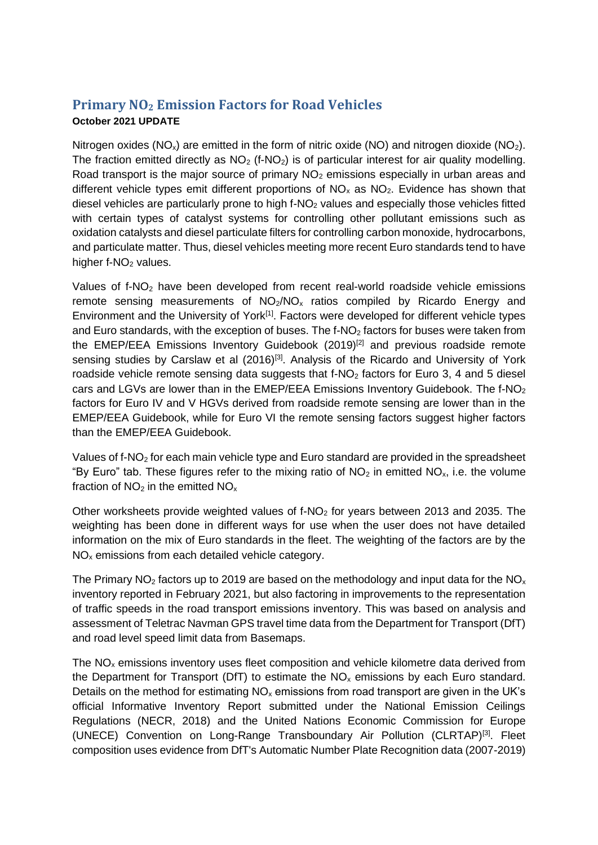## **Primary NO<sup>2</sup> Emission Factors for Road Vehicles October 2021 UPDATE**

Nitrogen oxides ( $NO_x$ ) are emitted in the form of nitric oxide ( $NO$ ) and nitrogen dioxide ( $NO_2$ ). The fraction emitted directly as  $NO<sub>2</sub>$  (f-NO<sub>2</sub>) is of particular interest for air quality modelling. Road transport is the major source of primary  $NO<sub>2</sub>$  emissions especially in urban areas and different vehicle types emit different proportions of  $NO<sub>x</sub>$  as  $NO<sub>2</sub>$ . Evidence has shown that diesel vehicles are particularly prone to high  $f-NO<sub>2</sub>$  values and especially those vehicles fitted with certain types of catalyst systems for controlling other pollutant emissions such as oxidation catalysts and diesel particulate filters for controlling carbon monoxide, hydrocarbons, and particulate matter. Thus, diesel vehicles meeting more recent Euro standards tend to have higher  $f-NO<sub>2</sub>$  values.

Values of  $f\text{-}NO<sub>2</sub>$  have been developed from recent real-world roadside vehicle emissions remote sensing measurements of  $NO<sub>2</sub>/NO<sub>x</sub>$  ratios compiled by Ricardo Energy and Environment and the University of York<sup>[1]</sup>. Factors were developed for different vehicle types and Euro standards, with the exception of buses. The f-NO<sub>2</sub> factors for buses were taken from the EMEP/EEA Emissions Inventory Guidebook (2019)<sup>[2]</sup> and previous roadside remote sensing studies by Carslaw et al (2016)<sup>[3]</sup>. Analysis of the Ricardo and University of York roadside vehicle remote sensing data suggests that  $f-NO<sub>2</sub>$  factors for Euro 3, 4 and 5 diesel cars and LGVs are lower than in the EMEP/EEA Emissions Inventory Guidebook. The f-NO<sub>2</sub> factors for Euro IV and V HGVs derived from roadside remote sensing are lower than in the EMEP/EEA Guidebook, while for Euro VI the remote sensing factors suggest higher factors than the EMEP/EEA Guidebook.

Values of f-NO<sup>2</sup> for each main vehicle type and Euro standard are provided in the spreadsheet "By Euro" tab. These figures refer to the mixing ratio of  $NO<sub>2</sub>$  in emitted  $NO<sub>x</sub>$ , i.e. the volume fraction of  $NO<sub>2</sub>$  in the emitted  $NO<sub>x</sub>$ 

Other worksheets provide weighted values of  $f-NO<sub>2</sub>$  for years between 2013 and 2035. The weighting has been done in different ways for use when the user does not have detailed information on the mix of Euro standards in the fleet. The weighting of the factors are by the NO<sup>x</sup> emissions from each detailed vehicle category.

The Primary  $NO<sub>2</sub>$  factors up to 2019 are based on the methodology and input data for the  $NO<sub>x</sub>$ inventory reported in February 2021, but also factoring in improvements to the representation of traffic speeds in the road transport emissions inventory. This was based on analysis and assessment of Teletrac Navman GPS travel time data from the Department for Transport (DfT) and road level speed limit data from Basemaps.

The  $NO<sub>x</sub>$  emissions inventory uses fleet composition and vehicle kilometre data derived from the Department for Transport (DfT) to estimate the  $NO<sub>x</sub>$  emissions by each Euro standard. Details on the method for estimating  $NO<sub>x</sub>$  emissions from road transport are given in the UK's official Informative Inventory Report submitted under the National Emission Ceilings Regulations (NECR, 2018) and the United Nations Economic Commission for Europe (UNECE) Convention on Long-Range Transboundary Air Pollution (CLRTAP)[3]. Fleet composition uses evidence from DfT's Automatic Number Plate Recognition data (2007-2019)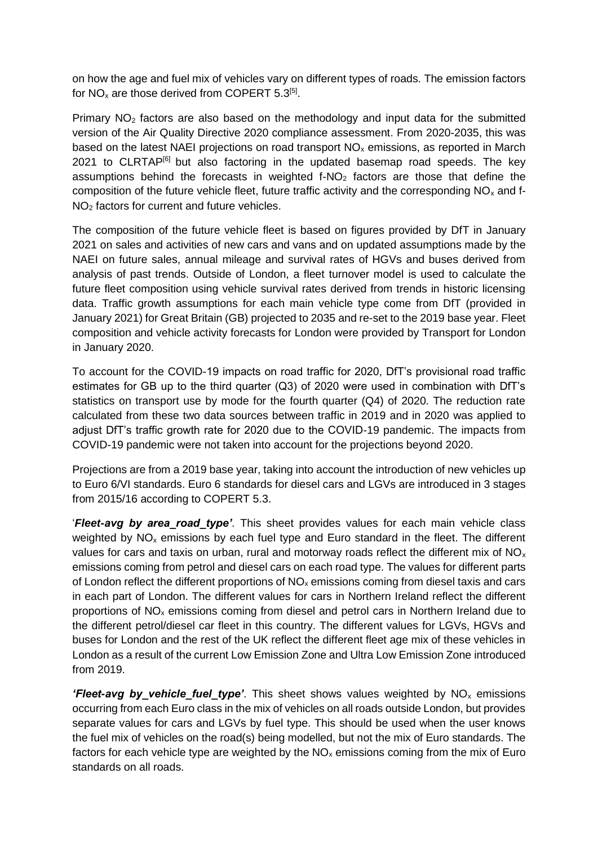on how the age and fuel mix of vehicles vary on different types of roads. The emission factors for  $NO_x$  are those derived from COPERT 5.3<sup>[5]</sup>.

Primary  $NO<sub>2</sub>$  factors are also based on the methodology and input data for the submitted version of the Air Quality Directive 2020 compliance assessment. From 2020-2035, this was based on the latest NAEI projections on road transport  $NO<sub>x</sub>$  emissions, as reported in March 2021 to CLRTAP<sup>[6]</sup> but also factoring in the updated basemap road speeds. The key assumptions behind the forecasts in weighted  $f-NO<sub>2</sub>$  factors are those that define the composition of the future vehicle fleet, future traffic activity and the corresponding  $NO<sub>x</sub>$  and f-NO<sub>2</sub> factors for current and future vehicles.

The composition of the future vehicle fleet is based on figures provided by DfT in January 2021 on sales and activities of new cars and vans and on updated assumptions made by the NAEI on future sales, annual mileage and survival rates of HGVs and buses derived from analysis of past trends. Outside of London, a fleet turnover model is used to calculate the future fleet composition using vehicle survival rates derived from trends in historic licensing data. Traffic growth assumptions for each main vehicle type come from DfT (provided in January 2021) for Great Britain (GB) projected to 2035 and re-set to the 2019 base year. Fleet composition and vehicle activity forecasts for London were provided by Transport for London in January 2020.

To account for the COVID-19 impacts on road traffic for 2020, DfT's provisional road traffic estimates for GB up to the third quarter (Q3) of 2020 were used in combination with DfT's statistics on transport use by mode for the fourth quarter (Q4) of 2020. The reduction rate calculated from these two data sources between traffic in 2019 and in 2020 was applied to adjust DfT's traffic growth rate for 2020 due to the COVID-19 pandemic. The impacts from COVID-19 pandemic were not taken into account for the projections beyond 2020.

Projections are from a 2019 base year, taking into account the introduction of new vehicles up to Euro 6/VI standards. Euro 6 standards for diesel cars and LGVs are introduced in 3 stages from 2015/16 according to COPERT 5.3.

'*Fleet-avg by area\_road\_type'*. This sheet provides values for each main vehicle class weighted by NO<sub>x</sub> emissions by each fuel type and Euro standard in the fleet. The different values for cars and taxis on urban, rural and motorway roads reflect the different mix of  $NO<sub>x</sub>$ emissions coming from petrol and diesel cars on each road type. The values for different parts of London reflect the different proportions of  $NO<sub>x</sub>$  emissions coming from diesel taxis and cars in each part of London. The different values for cars in Northern Ireland reflect the different proportions of  $NO<sub>x</sub>$  emissions coming from diesel and petrol cars in Northern Ireland due to the different petrol/diesel car fleet in this country. The different values for LGVs, HGVs and buses for London and the rest of the UK reflect the different fleet age mix of these vehicles in London as a result of the current Low Emission Zone and Ultra Low Emission Zone introduced from 2019.

*'Fleet-avg by vehicle fuel type'*. This sheet shows values weighted by NO<sub>x</sub> emissions occurring from each Euro class in the mix of vehicles on all roads outside London, but provides separate values for cars and LGVs by fuel type. This should be used when the user knows the fuel mix of vehicles on the road(s) being modelled, but not the mix of Euro standards. The factors for each vehicle type are weighted by the  $NO<sub>x</sub>$  emissions coming from the mix of Euro standards on all roads.